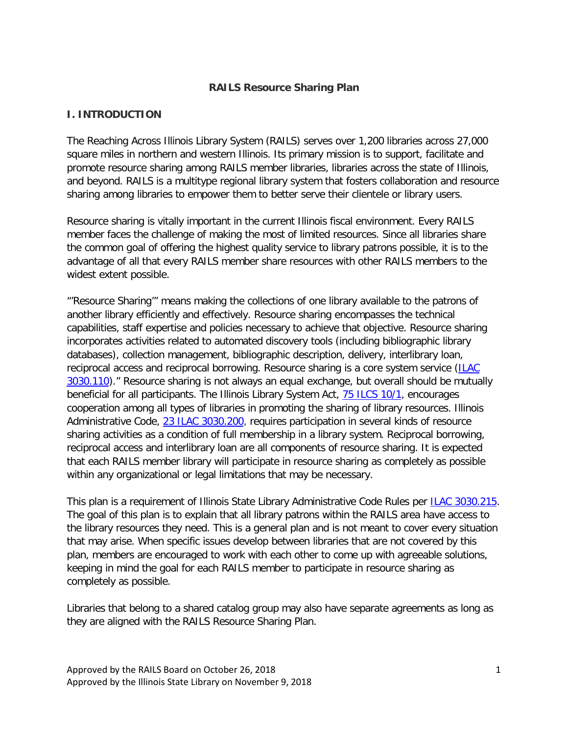#### **RAILS Resource Sharing Plan**

#### **I. INTRODUCTION**

The Reaching Across Illinois Library System (RAILS) serves over 1,200 libraries across 27,000 square miles in northern and western Illinois. Its primary mission is to support, facilitate and promote resource sharing among RAILS member libraries, libraries across the state of Illinois, and beyond. RAILS is a multitype regional library system that fosters collaboration and resource sharing among libraries to empower them to better serve their clientele or library users.

Resource sharing is vitally important in the current Illinois fiscal environment. Every RAILS member faces the challenge of making the most of limited resources. Since all libraries share the common goal of offering the highest quality service to library patrons possible, it is to the advantage of all that every RAILS member share resources with other RAILS members to the widest extent possible.

"'Resource Sharing'" means making the collections of one library available to the patrons of another library efficiently and effectively. Resource sharing encompasses the technical capabilities, staff expertise and policies necessary to achieve that objective. Resource sharing incorporates activities related to automated discovery tools (including bibliographic library databases), collection management, bibliographic description, delivery, interlibrary loan, reciprocal access and reciprocal borrowing. Resource sharing is a core system service [\(ILAC](ftp://www.ilga.gov/jcar/admincode/023/023030300A01100R.html)  [3030.110\)](ftp://www.ilga.gov/jcar/admincode/023/023030300A01100R.html)." Resource sharing is not always an equal exchange, but overall should be mutually beneficial for all participants. The Illinois Library System Act, [75 ILCS 10/1,](http://www.ilga.gov/legislation/ilcs/ilcs3.asp?ActID=991&ChapAct=75) encourages cooperation among all types of libraries in promoting the sharing of library resources. Illinois Administrative Code, [23 ILAC 3030.200,](ftp://www.ilga.gov/JCAR/AdminCode/023/023030300B02000R.html) requires participation in several kinds of resource sharing activities as a condition of full membership in a library system. Reciprocal borrowing, reciprocal access and interlibrary loan are all components of resource sharing. It is expected that each RAILS member library will participate in resource sharing as completely as possible within any organizational or legal limitations that may be necessary.

This plan is a requirement of Illinois State Library Administrative Code Rules per [ILAC 3030.215.](ftp://www.ilga.gov/JCAR/AdminCode/023/023030300B02150R.html) The goal of this plan is to explain that all library patrons within the RAILS area have access to the library resources they need. This is a general plan and is not meant to cover every situation that may arise. When specific issues develop between libraries that are not covered by this plan, members are encouraged to work with each other to come up with agreeable solutions, keeping in mind the goal for each RAILS member to participate in resource sharing as completely as possible.

Libraries that belong to a shared catalog group may also have separate agreements as long as they are aligned with the RAILS Resource Sharing Plan.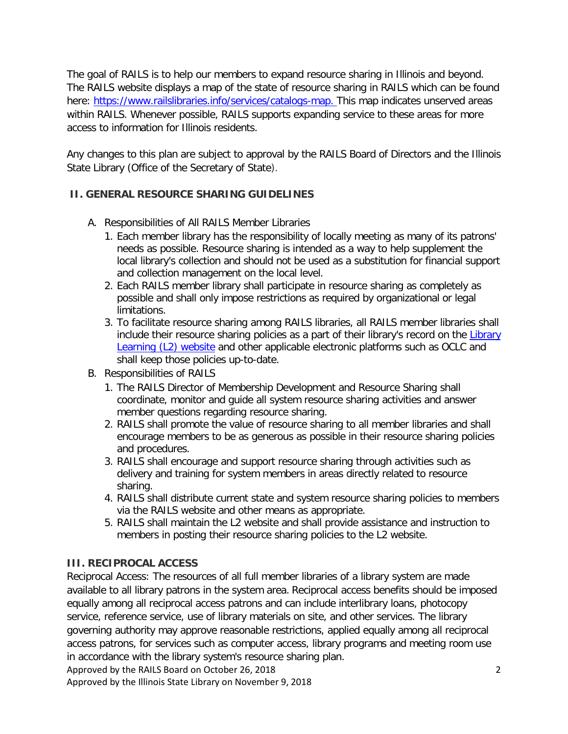The goal of RAILS is to help our members to expand resource sharing in Illinois and beyond. The RAILS website displays a map of the state of resource sharing in RAILS which can be found here: [https://www.railslibraries.info/services/catalogs-map.](https://www.railslibraries.info/services/catalogs-map) This map indicates unserved areas within RAILS. Whenever possible, RAILS supports expanding service to these areas for more access to information for Illinois residents.

Any changes to this plan are subject to approval by the RAILS Board of Directors and the Illinois State Library (Office of the Secretary of State).

# **II. GENERAL RESOURCE SHARING GUIDELINES**

- A. Responsibilities of All RAILS Member Libraries
	- 1. Each member library has the responsibility of locally meeting as many of its patrons' needs as possible. Resource sharing is intended as a way to help supplement the local library's collection and should not be used as a substitution for financial support and collection management on the local level.
	- 2. Each RAILS member library shall participate in resource sharing as completely as possible and shall only impose restrictions as required by organizational or legal limitations.
	- 3. To facilitate resource sharing among RAILS libraries, all RAILS member libraries shall include their resource sharing policies as a part of their library's record on the [Library](http://www.librarylearning.info/)  [Learning \(L2\) website](http://www.librarylearning.info/) and other applicable electronic platforms such as OCLC and shall keep those policies up-to-date.
- B. Responsibilities of RAILS
	- 1. The RAILS Director of Membership Development and Resource Sharing shall coordinate, monitor and guide all system resource sharing activities and answer member questions regarding resource sharing.
	- 2. RAILS shall promote the value of resource sharing to all member libraries and shall encourage members to be as generous as possible in their resource sharing policies and procedures.
	- 3. RAILS shall encourage and support resource sharing through activities such as delivery and training for system members in areas directly related to resource sharing.
	- 4. RAILS shall distribute current state and system resource sharing policies to members via the RAILS website and other means as appropriate.
	- 5. RAILS shall maintain the L2 website and shall provide assistance and instruction to members in posting their resource sharing policies to the L2 website.

# **III. RECIPROCAL ACCESS**

Approved by the RAILS Board on October 26, 2018 2018 Reciprocal Access: The resources of all full member libraries of a library system are made available to all library patrons in the system area. Reciprocal access benefits should be imposed equally among all reciprocal access patrons and can include interlibrary loans, photocopy service, reference service, use of library materials on site, and other services. The library governing authority may approve reasonable restrictions, applied equally among all reciprocal access patrons, for services such as computer access, library programs and meeting room use in accordance with the library system's resource sharing plan.

Approved by the Illinois State Library on November 9, 2018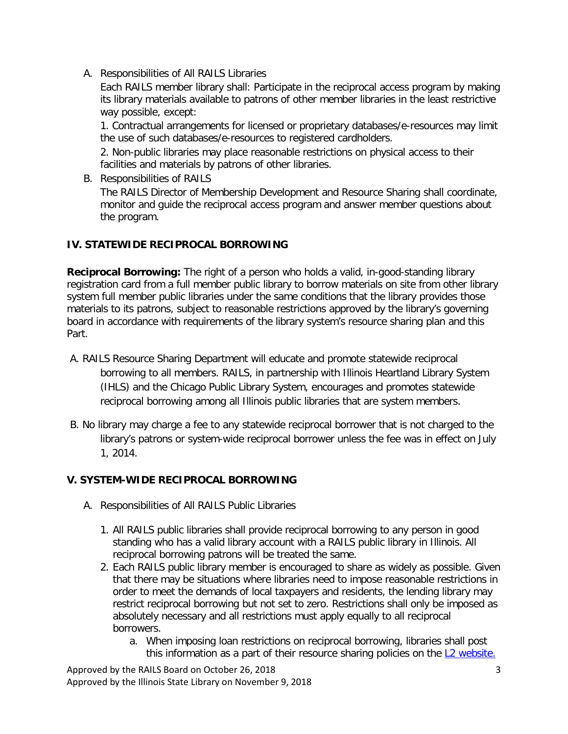A. Responsibilities of All RAILS Libraries

Each RAILS member library shall: Participate in the reciprocal access program by making its library materials available to patrons of other member libraries in the least restrictive way possible, except:

1. Contractual arrangements for licensed or proprietary databases/e-resources may limit the use of such databases/e-resources to registered cardholders.

2. Non-public libraries may place reasonable restrictions on physical access to their facilities and materials by patrons of other libraries.

B. Responsibilities of RAILS The RAILS Director of Membership Development and Resource Sharing shall coordinate, monitor and guide the reciprocal access program and answer member questions about the program.

# **IV. STATEWIDE RECIPROCAL BORROWING**

**Reciprocal Borrowing:** The right of a person who holds a valid, in-good-standing library registration card from a full member public library to borrow materials on site from other library system full member public libraries under the same conditions that the library provides those materials to its patrons, subject to reasonable restrictions approved by the library's governing board in accordance with requirements of the library system's resource sharing plan and this Part.

- A. RAILS Resource Sharing Department will educate and promote statewide reciprocal borrowing to all members. RAILS, in partnership with Illinois Heartland Library System (IHLS) and the Chicago Public Library System, encourages and promotes statewide reciprocal borrowing among all Illinois public libraries that are system members.
- B. No library may charge a fee to any statewide reciprocal borrower that is not charged to the library's patrons or system-wide reciprocal borrower unless the fee was in effect on July 1, 2014.

## **V. SYSTEM-WIDE RECIPROCAL BORROWING**

- A. Responsibilities of All RAILS Public Libraries
	- 1. All RAILS public libraries shall provide reciprocal borrowing to any person in good standing who has a valid library account with a RAILS public library in Illinois. All reciprocal borrowing patrons will be treated the same.
	- 2. Each RAILS public library member is encouraged to share as widely as possible. Given that there may be situations where libraries need to impose reasonable restrictions in order to meet the demands of local taxpayers and residents, the lending library may restrict reciprocal borrowing but not set to zero. Restrictions shall only be imposed as absolutely necessary and all restrictions must apply equally to all reciprocal borrowers.
		- a. When imposing loan restrictions on reciprocal borrowing, libraries shall post this information as a part of their resource sharing policies on the [L2 website.](http://www.librarylearning.info/)

Approved by the RAILS Board on October 26, 2018 3 Approved by the Illinois State Library on November 9, 2018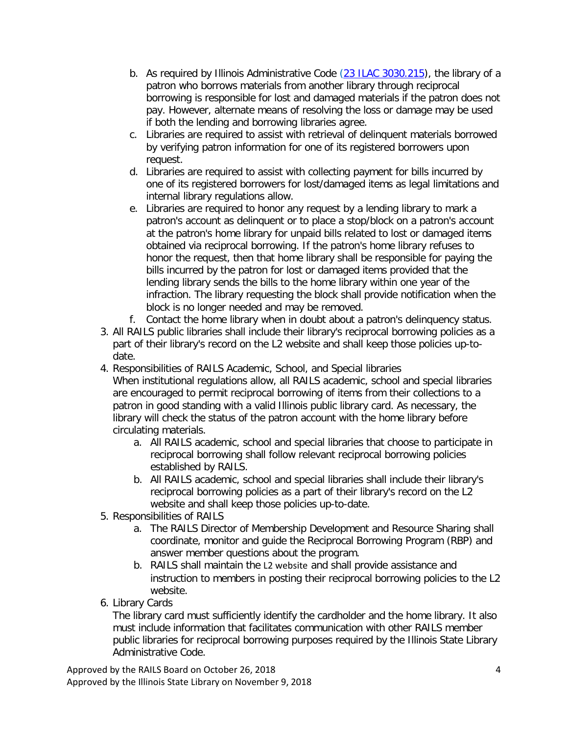- b. As required by Illinois Administrative Code [\(23 ILAC 3030.215\)](ftp://www.ilga.gov/JCAR/AdminCode/023/023030300B02150R.html), the library of a patron who borrows materials from another library through reciprocal borrowing is responsible for lost and damaged materials if the patron does not pay. However, alternate means of resolving the loss or damage may be used if both the lending and borrowing libraries agree.
- c. Libraries are required to assist with retrieval of delinquent materials borrowed by verifying patron information for one of its registered borrowers upon request.
- d. Libraries are required to assist with collecting payment for bills incurred by one of its registered borrowers for lost/damaged items as legal limitations and internal library regulations allow.
- e. Libraries are required to honor any request by a lending library to mark a patron's account as delinquent or to place a stop/block on a patron's account at the patron's home library for unpaid bills related to lost or damaged items obtained via reciprocal borrowing. If the patron's home library refuses to honor the request, then that home library shall be responsible for paying the bills incurred by the patron for lost or damaged items provided that the lending library sends the bills to the home library within one year of the infraction. The library requesting the block shall provide notification when the block is no longer needed and may be removed.
- f. Contact the home library when in doubt about a patron's delinquency status.
- 3. All RAILS public libraries shall include their library's reciprocal borrowing policies as a part of their library's record on the L2 website and shall keep those policies up-todate.
- 4. Responsibilities of RAILS Academic, School, and Special libraries When institutional regulations allow, all RAILS academic, school and special libraries are encouraged to permit reciprocal borrowing of items from their collections to a patron in good standing with a valid Illinois public library card. As necessary, the library will check the status of the patron account with the home library before circulating materials.
	- a. All RAILS academic, school and special libraries that choose to participate in reciprocal borrowing shall follow relevant reciprocal borrowing policies established by RAILS.
	- b. All RAILS academic, school and special libraries shall include their library's reciprocal borrowing policies as a part of their library's record on the L2 website and shall keep those policies up-to-date.
- 5. Responsibilities of RAILS
	- a. The RAILS Director of Membership Development and Resource Sharing shall coordinate, monitor and guide the Reciprocal Borrowing Program (RBP) and answer member questions about the program.
	- b. RAILS shall maintain the [L2 website](http://www.librarylearning.info/) and shall provide assistance and instruction to members in posting their reciprocal borrowing policies to the L2 website.
- 6. Library Cards

The library card must sufficiently identify the cardholder and the home library. It also must include information that facilitates communication with other RAILS member public libraries for reciprocal borrowing purposes required by the Illinois State Library Administrative Code.

Approved by the RAILS Board on October 26, 2018 4 Approved by the Illinois State Library on November 9, 2018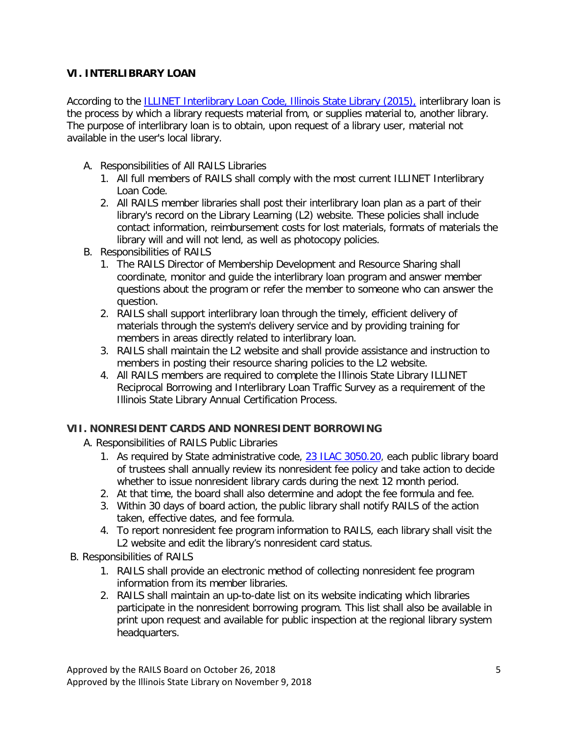## **VI. INTERLIBRARY LOAN**

According to the **ILLINET Interlibrary Loan Code**, Illinois State Library (2015), interlibrary loan is the process by which a library requests material from, or supplies material to, another library. The purpose of interlibrary loan is to obtain, upon request of a library user, material not available in the user's local library.

- A. Responsibilities of All RAILS Libraries
	- 1. All full members of RAILS shall comply with the most current ILLINET Interlibrary Loan Code.
	- 2. All RAILS member libraries shall post their interlibrary loan plan as a part of their library's record on the Library Learning (L2) website. These policies shall include contact information, reimbursement costs for lost materials, formats of materials the library will and will not lend, as well as photocopy policies.
- B. Responsibilities of RAILS
	- 1. The RAILS Director of Membership Development and Resource Sharing shall coordinate, monitor and guide the interlibrary loan program and answer member questions about the program or refer the member to someone who can answer the question.
	- 2. RAILS shall support interlibrary loan through the timely, efficient delivery of materials through the system's delivery service and by providing training for members in areas directly related to interlibrary loan.
	- 3. RAILS shall maintain the L2 website and shall provide assistance and instruction to members in posting their resource sharing policies to the L2 website.
	- 4. All RAILS members are required to complete the Illinois State Library ILLINET Reciprocal Borrowing and Interlibrary Loan Traffic Survey as a requirement of the Illinois State Library Annual Certification Process.

## **VII. NONRESIDENT CARDS AND NONRESIDENT BORROWING**

- A. Responsibilities of RAILS Public Libraries
	- 1. As required by State administrative code, [23 ILAC 3050.20,](ftp://www.ilga.gov/JCAR/AdminCode/023/023030500000200R.html) each public library board of trustees shall annually review its nonresident fee policy and take action to decide whether to issue nonresident library cards during the next 12 month period.
	- 2. At that time, the board shall also determine and adopt the fee formula and fee.
	- 3. Within 30 days of board action, the public library shall notify RAILS of the action taken, effective dates, and fee formula.
	- 4. To report nonresident fee program information to RAILS, each library shall visit the L2 website and edit the library's nonresident card status.
- B. Responsibilities of RAILS
	- 1. RAILS shall provide an electronic method of collecting nonresident fee program information from its member libraries.
	- 2. RAILS shall maintain an up-to-date list on its website indicating which libraries participate in the nonresident borrowing program. This list shall also be available in print upon request and available for public inspection at the regional library system headquarters.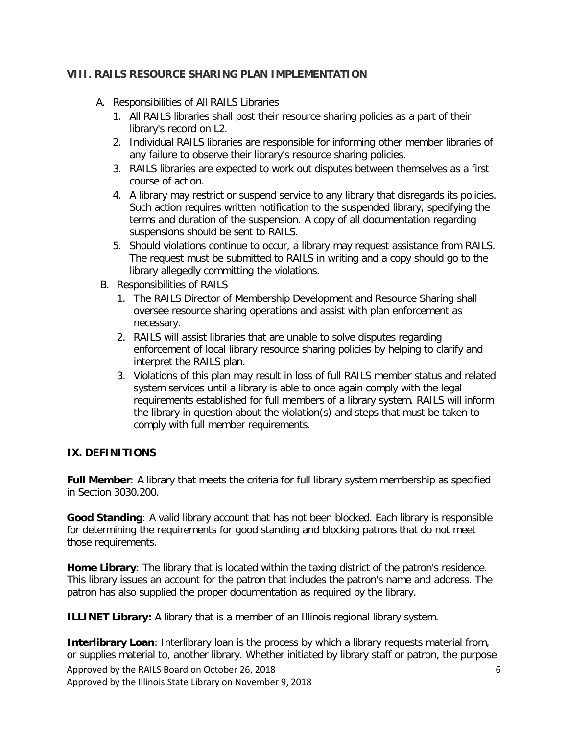#### **VIII. RAILS RESOURCE SHARING PLAN IMPLEMENTATION**

- A. Responsibilities of All RAILS Libraries
	- 1. All RAILS libraries shall post their resource sharing policies as a part of their library's record on L2.
	- 2. Individual RAILS libraries are responsible for informing other member libraries of any failure to observe their library's resource sharing policies.
	- 3. RAILS libraries are expected to work out disputes between themselves as a first course of action.
	- 4. A library may restrict or suspend service to any library that disregards its policies. Such action requires written notification to the suspended library, specifying the terms and duration of the suspension. A copy of all documentation regarding suspensions should be sent to RAILS.
	- 5. Should violations continue to occur, a library may request assistance from RAILS. The request must be submitted to RAILS in writing and a copy should go to the library allegedly committing the violations.
- B. Responsibilities of RAILS
	- 1. The RAILS Director of Membership Development and Resource Sharing shall oversee resource sharing operations and assist with plan enforcement as necessary.
	- 2. RAILS will assist libraries that are unable to solve disputes regarding enforcement of local library resource sharing policies by helping to clarify and interpret the RAILS plan.
	- 3. Violations of this plan may result in loss of full RAILS member status and related system services until a library is able to once again comply with the legal requirements established for full members of a library system. RAILS will inform the library in question about the violation(s) and steps that must be taken to comply with full member requirements.

## **IX. DEFINITIONS**

**Full Member**: A library that meets the criteria for full library system membership as specified in Section 3030.200.

**Good Standing**: A valid library account that has not been blocked. Each library is responsible for determining the requirements for good standing and blocking patrons that do not meet those requirements.

**Home Library**: The library that is located within the taxing district of the patron's residence. This library issues an account for the patron that includes the patron's name and address. The patron has also supplied the proper documentation as required by the library.

**ILLINET Library:** A library that is a member of an Illinois regional library system.

Approved by the RAILS Board on October 26, 2018 6 Approved by the Illinois State Library on November 9, 2018 **Interlibrary Loan**: Interlibrary loan is the process by which a library requests material from, or supplies material to, another library. Whether initiated by library staff or patron, the purpose